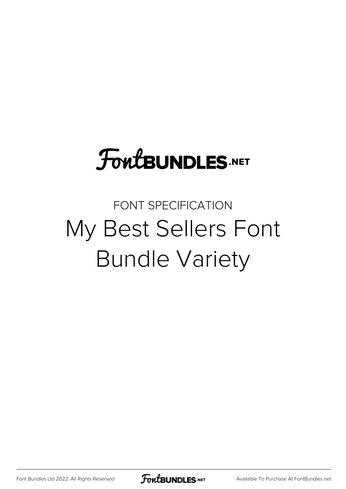# **FoutBUNDLES.NET**

## FONT SPECIFICATION My Best Sellers Font Bundle Variety

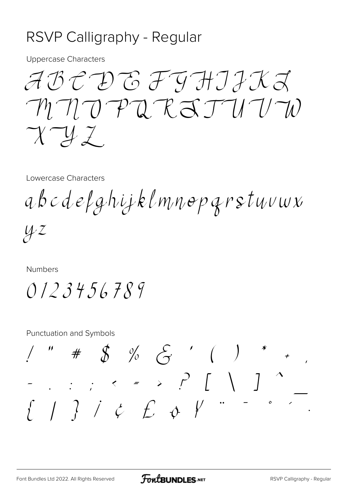## RSVP Calligraphy - Regular

**Uppercase Characters** 

ABCDEFIHIIKL  $M U U T U T R S T U U T D$  $\gamma \gamma$ 

Lowercase Characters

abcdefghijklmnopgrstuvwx

 $42$ 

**Numbers** 

 $0123456789$ 

**Punctuation and Symbols** 

 $1 " # $ % & \xrightarrow{6} { ( ) * * \n }{ (- \cdot \cdot \cdot \cdot ) * (- \cdot \cdot \cdot )} )^*$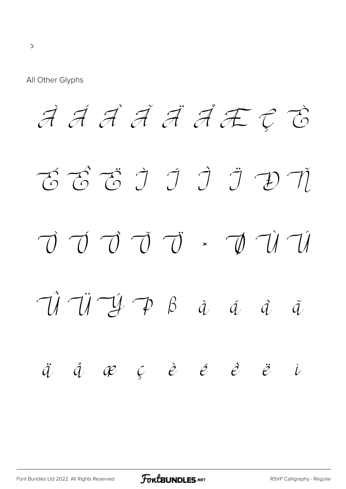All Other Glyphs

*À Á Â Ã Ä Å Æ Ç È É Ê Ë Ì Í Î Ï Ð Ñ Ò Ó Ô Õ Ö × Ø Ù Ú Û Ü Ý Þ ß à á â ã ä å æ ç è é ê ë ì*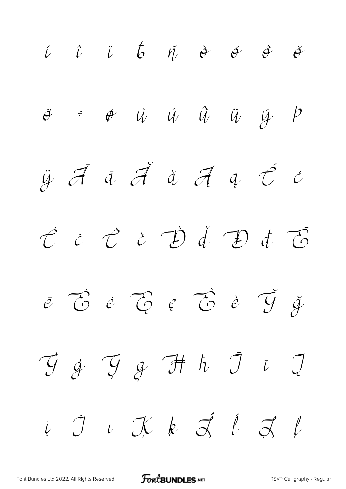*í î ï ð ñ ò ó ô õ ö ÷ ø ù ú û ü ý þ ÿ Ā ā Ă ă Ą ą Ć ć Ċ ċ Č č Ď ď Đ đ Ē ē Ė ė Ę ę Ě ě Ğ ğ Ġ ġ Ģ ģ Ħ ħ Ī ī Į į İ ı Ķ ķ Ĺ ĺ Ļ ļ*

[Font Bundles Ltd 2022. All Rights Reserved](https://fontbundles.net/) **FoutBUNDLES.NET** [RSVP Calligraphy - Regular](https://fontbundles.net/)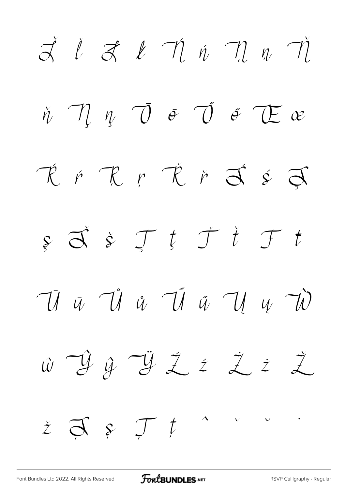$\vec{a}$  i  $\vec{a}$  i  $\vec{n}$  i  $\vec{n}$   $\vec{n}$  $\eta$   $\eta$   $\overline{\theta}$   $\overline{\theta}$   $\overline{\theta}$   $\overline{\theta}$   $\overline{\theta}$   $\overline{\theta}$   $\overline{\theta}$  $\check{\eta}$ RFRFRFFFF  $\oint \vec{d} \cdot \vec{r}$   $\vec{r}$   $\vec{r}$   $\vec{r}$  $\mathcal{T}$  t  $\vec{u}$   $\vec{u}$   $\vec{u}$   $\vec{u}$   $\vec{u}$   $\vec{u}$   $\vec{u}$   $\vec{w}$  $\hat{w}$   $\hat{y}$   $\hat{y}$   $\hat{z}$   $\hat{z}$   $\hat{z}$   $\hat{z}$  $\dot{z}$   $\vec{\sigma}$   $\epsilon$   $\mathcal{T}$   $t$  $\sqrt{2}$ 

FoutBUNDLES.NET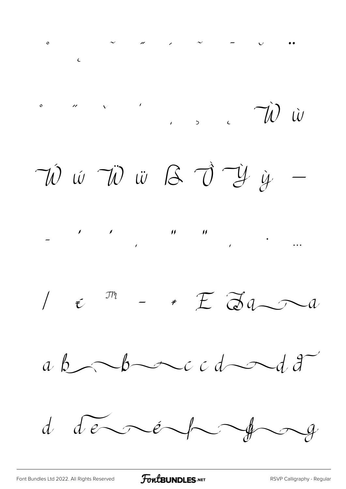$\sim$   $\sim$   $\sim$   $\sim$   $\sim$   $\sqrt{N}$   $\omega$  $\circ$ VÍ W VÌ W B J Y Y  $\frac{1}{\sqrt{1-\frac{1}{2}}}$  $1 \in \mathbb{M}$  - +  $E \propto 10$  $ab\rightarrow bc\rightarrow cd\rightarrow d\rightarrow$ d de réfrag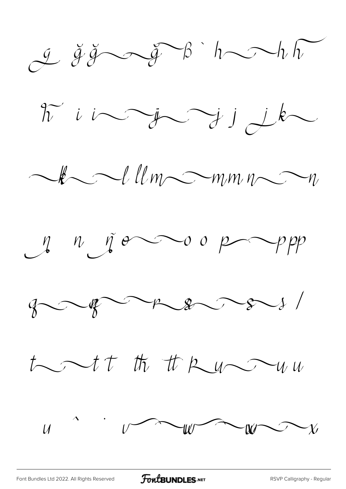

[Font Bundles Ltd 2022. All Rights Reserved](https://fontbundles.net/) **FoutBUNDLES.NET** [RSVP Calligraphy - Regular](https://fontbundles.net/)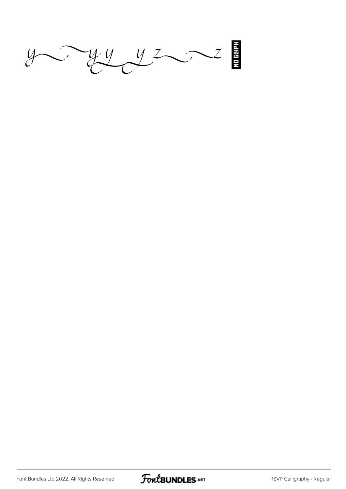$y \rightarrow y \rightarrow z$ 

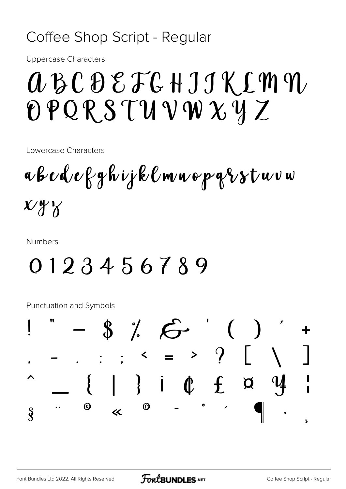## Coffee Shop Script - Regular

**Uppercase Characters** 

# *ABCDEFGHJJKLMM*  $OPORSUVWXXYZ$

Lowercase Characters

a b c d e f g h i j k l m n o p g i s t u v w  $X/Y$ 

**Numbers** 

## 0123456789

**Punctuation and Symbols** 

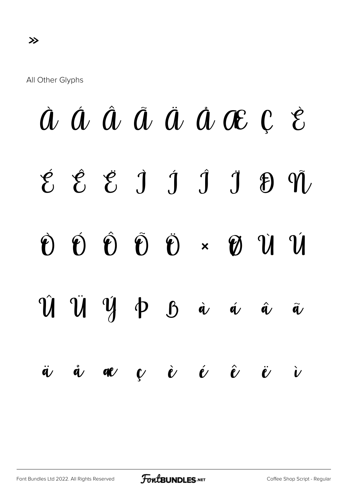All Other Glyphs

# À Á Â Ã Ä Å Æ Ç È É Ê Ë Ì Í Î Ï Ð Ñ Ò Ó Ô Õ Ö × Ø Ù Ú  $\hat{U}$   $\hat{U}$   $\hat{V}$   $\phi$   $\hat{\alpha}$   $\hat{\alpha}$   $\hat{\alpha}$   $\hat{\alpha}$  $\ddot{a}$   $\dot{a}$   $\alpha$   $\dot{v}$   $\dot{e}$   $\dot{e}$   $\ddot{v}$   $\dot{v}$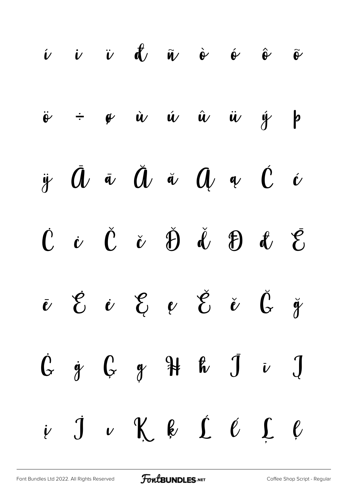í î ï ð ñ ò ó ô õ ö ÷ ø ù ú û ü ý þ ÿ Ā ā Ă ă Ą ą Ć ć Ċ ċ Č č Ď ď Đ đ Ē ē Ė ė Ę ę Ě ě Ğ ğ Ġ ġ Ģ ģ Ħ ħ Ī ī Į į İ ı Ķ ķ Ĺ ĺ Ļ ļ

[Font Bundles Ltd 2022. All Rights Reserved](https://fontbundles.net/) **FoutBUNDLES.NET** [Coffee Shop Script - Regular](https://fontbundles.net/)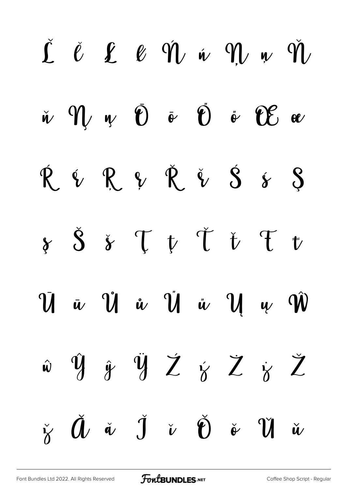|  |  | $\begin{array}{ccccccccccccc} \check{\mathcal{L}} & \check{\mathcal{C}} & \mathcal{L} & \mathcal{L} & \mathcal{C} & \hat{\mathcal{V}} & \check{\mathcal{W}} & \check{\mathcal{W}} & \mathcal{W} & \mathcal{W} & \check{\mathcal{W}} \end{array}$ |  |  |
|--|--|--------------------------------------------------------------------------------------------------------------------------------------------------------------------------------------------------------------------------------------------------|--|--|
|  |  | $\check{w}$ $\hat{w}$ $\psi$ $\check{v}$ $\check{v}$ $\check{v}$ $\hat{w}$ $\hat{w}$ $\omega$                                                                                                                                                    |  |  |
|  |  | $\begin{array}{ccccccccc}\n\hat{R} & \hat{V} & \hat{R} & \hat{V} & \hat{V} & \hat{S} & \hat{S} & \hat{S}\n\end{array}$                                                                                                                           |  |  |
|  |  | $\oint \delta \phi = \oint \delta \phi$                                                                                                                                                                                                          |  |  |
|  |  | $\bar{U}$ <i>u</i> $\hat{U}$ <i>i</i> $\hat{U}$ <i>i</i> $\hat{U}$ <i>i</i> $\hat{U}$ <i>i</i> $\hat{U}$                                                                                                                                         |  |  |
|  |  | $\hat{w}$ $\hat{y}$ $\hat{y}$ $\hat{Z}$ $\hat{y}$ $\hat{Z}$ $\hat{z}$                                                                                                                                                                            |  |  |
|  |  | $\check{\gamma} \quad \check{\mathbf{U}} \quad \check{\alpha} \quad \check{\mathbf{J}} \quad \check{\mathbf{v}} \quad \check{\mathbf{U}} \quad \check{\mathbf{v}} \quad \check{\mathbf{U}} \quad \check{\mathbf{u}}$                             |  |  |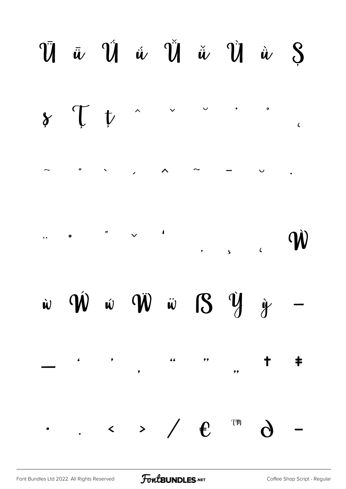#### $\bar{v}$   $\bar{u}$   $\bar{v}$   $\hat{u}$   $\tilde{v}$   $\tilde{u}$   $\tilde{v}$   $\tilde{u}$   $\tilde{s}$ T t  $\bullet$  $\hat{\phantom{1}}$  $\gamma$  $\epsilon$  $\overline{\phantom{a}}$  $\mathbf{n}$  and  $\mathbf{n}$  $\hat{\wedge}$  $\sim$  $\cup$  $\ddot{\phantom{0}}$  $\sim$   $\sim$  $\mathbf{r}$  $\bullet$ W  $\ddot{\bullet}$  $\overline{\mathbf{5}}$  $\overline{\mathbf{C}}$  $\hat{w}$   $\hat{w}$   $\hat{w}$   $\hat{w}$   $S$   $\hat{y}$   $\hat{y}$  $\hat{\bm{w}}$ —  $66$  $,$  $\ddagger$  $\bullet$  $\bullet$  $\ddagger$  $, ,$  $T^{\prime\prime}$  $\leftarrow$  > /  $\epsilon$  $\bullet$

FontBUNDLES.NET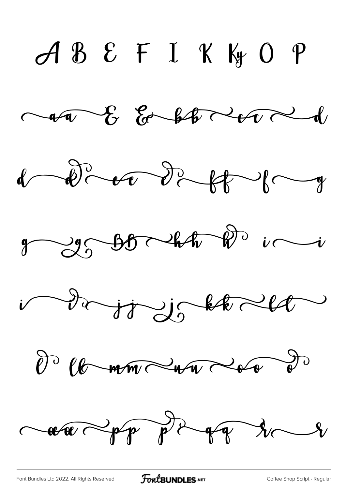$ABEFLKK0P$  $\sim 40$  for both to  $\sim 1$  $1 - \frac{1}{2} - \frac{1}{2} - \frac{1}{2} - \frac{1}{2} - \frac{1}{2} - \frac{1}{2} - \frac{1}{2} - \frac{1}{2} - \frac{1}{2} - \frac{1}{2} - \frac{1}{2} - \frac{1}{2} - \frac{1}{2} - \frac{1}{2} - \frac{1}{2} - \frac{1}{2} - \frac{1}{2} - \frac{1}{2} - \frac{1}{2} - \frac{1}{2} - \frac{1}{2} - \frac{1}{2} - \frac{1}{2} - \frac{1}{2} - \frac{1}{2} - \frac{1}{2} - \frac{1}{2} - \frac$  $y \rightarrow y \rightarrow b \rightarrow b \rightarrow b \rightarrow c \rightarrow c$ i da jø je bled de la mondern de de  $\sim 400 \times 10^{9} \text{ p}^{-1} \text{ s}^{-1} \text{ s}^{-1} \text{ s}^{-1}$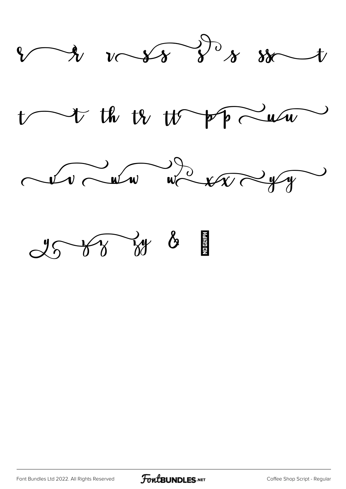

 $\triangleright$  the tr  $\uparrow\uparrow$  pp  $\sim$  using



Y T W &

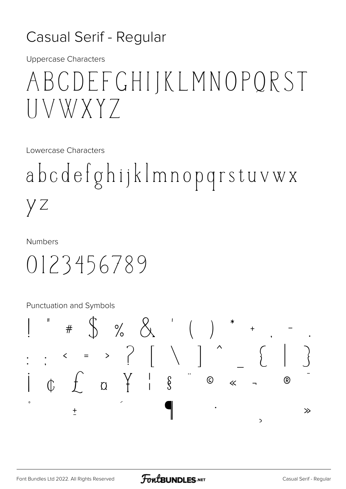### Casual Serif - Regular

**Uppercase Characters** 

# ABCDEFCHIJKLMNOPQRST VWXY7

Lowercase Characters

abcdefghijklmnopqrstuvwx y z

**Numbers** 

0123456789

Punctuation and Symbols

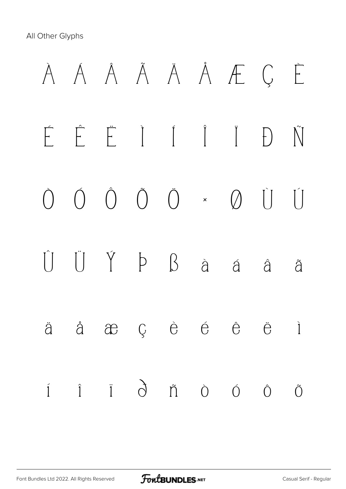All Other Glyphs

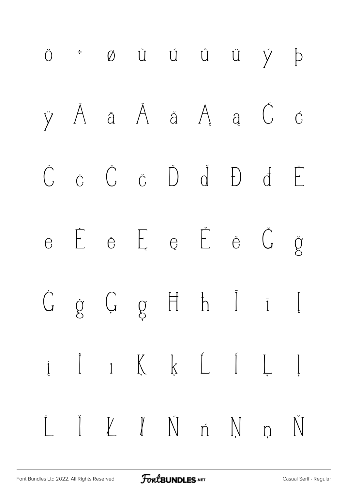![](_page_17_Figure_0.jpeg)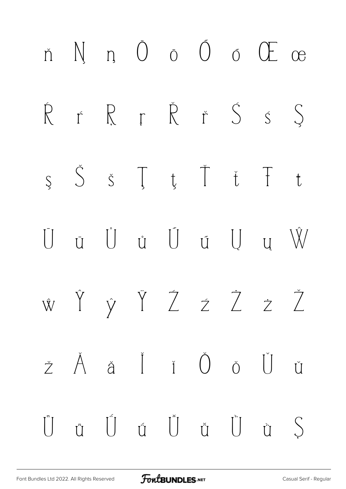![](_page_18_Figure_0.jpeg)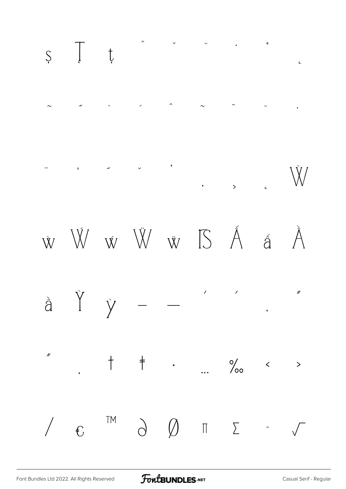![](_page_19_Figure_0.jpeg)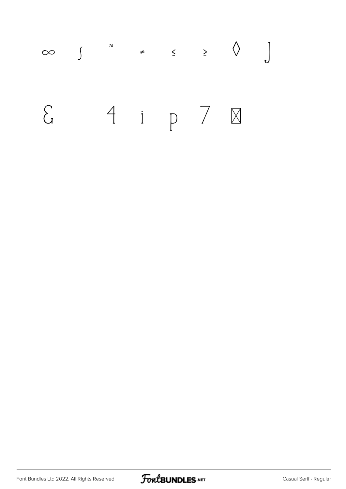![](_page_20_Figure_0.jpeg)

![](_page_20_Picture_2.jpeg)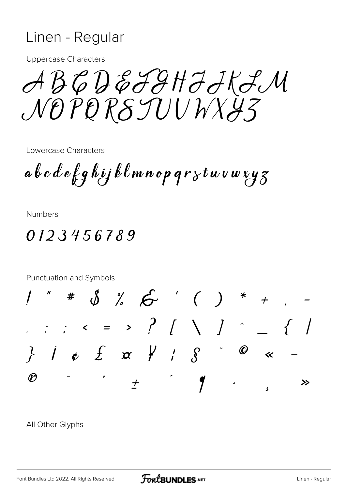### Linen - Regular

**Uppercase Characters** 

 $\mathcal{ABGDBFGHJHJ}$ NOPORSJUUWXY3

Lowercase Characters

 $a\,b\,c\,d\,e$  fg hij klmnop qr $\,$ stuvw $\,$ y $\,$ z $\,$ 

**Numbers** 

### 0123456789

Punctuation and Symbols  $*$  \$ % 6  $( )$  \*  $\therefore$   $\therefore$   $\leq$  = >  $?$   $[$   $\setminus$   $]$   $\hat{ }$   $[$   $]$ }  $j \phi$   $f$   $\alpha$   $f'$ ,  $g$   $\phi$  $\overline{\mathbf{K}}$  $\mathcal{P}$  $\boldsymbol{\eta}$  $\overline{t}$ ≫

All Other Glyphs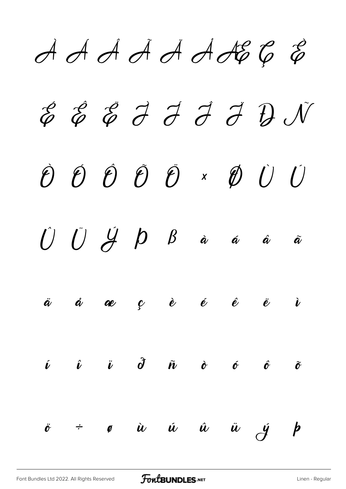$A A A A A A B C B$ E E E I I I I D N  $\hat{p}$   $\hat{p}$   $\hat{p}$   $\hat{p}$   $\hat{p}$   $\hat{v}$   $\hat{v}$   $\hat{v}$  $\bigcup \hspace{0.1in} \bigcup \hspace{0.1in} \bigcup \hspace{0.1in} \bigoplus \hspace{0.1in} p \hspace{0.1in} \beta$  $\grave{\bm{a}}$  $\bm{\hat{\alpha}}$  $\hat{\boldsymbol{a}}$  $\tilde{\boldsymbol{a}}$  $\begin{array}{ccccccccccccc}\n\mathbf{c} & & \hat{\mathbf{e}} & & \hat{\mathbf{e}} & & \hat{\mathbf{e}} & & \hat{\mathbf{e}}\n\end{array}$  $\ddot{\bm{a}}$  $\mathring{\bm{a}}$  $\dot{v}$ æ  $\ddot{\mathbf{i}}$   $\partial$  $\hat{\bm{\ell}}$  $\hat{\bm{\nu}}$  $\tilde{\bm{n}}$  $\dot{\mathbf{C}}$  $\boldsymbol{\phi}$  $\hat{\mathbf{\theta}}$  $\tilde{\mathbf{\sigma}}$  $\dot{u}$   $\dot{u}$   $\dot{u}$   $\ddot{u}$   $\dot{y}$   $\dot{p}$  $\ddot{\mathbf{c}}$  $\div$  $\emptyset$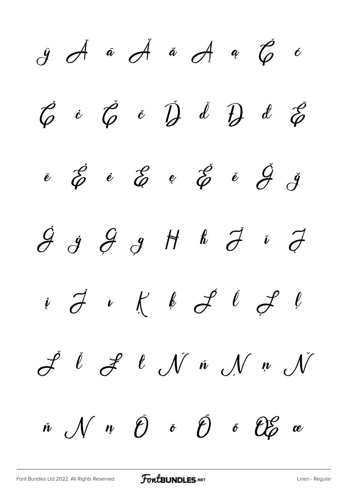*ÿ Ā ā Ă ă Ą ą Ć ć Ċ ċ Č č Ď ď Đ đ Ē ē Ė ė Ę ę Ě ě Ğ ğ Ġ ġ Ģ ģ Ħ ħ Ī ī Į į İ ı Ķ ķ Ĺ ĺ Ļ ļ Ľ ľ Ł ł Ń ń Ņ ņ Ň ň Ŋ ŋ Ō ō Ő ő Œ œ*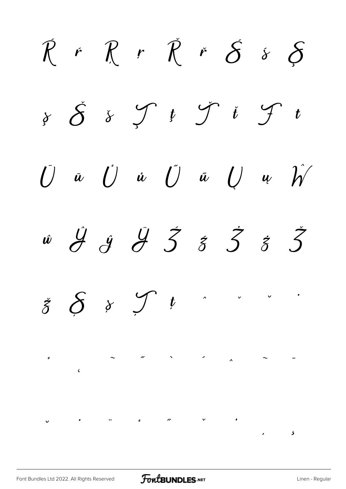*Ŕ ŕ Ŗ ŗ Ř ř Ś ś Ş ş Š š Ţ ţ Ť ť Ŧ ŧ Ū ū Ů ů Ű ű Ų ų Ŵ ŵ Ŷ ŷ Ÿ Ź ź Ż ż Ž ž Ș ș Ț ț ˆ ˇ ˘ ˙ ˚ ˛ ˜ ˝ ̀ ́ ̂ ̃ ̄ ̆ ̇ ̈ ̊ ̋ ̌ ̒ ̦ ̧*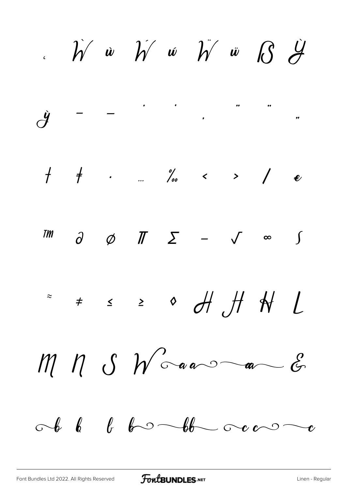$\hat{h}$  *w*  $\hat{h}$  *w*  $\hat{h}$  *w*  $\hat{B}$   $\hat{H}$ *ỳ – — ' ' ' " " " † ‡ • … ‰ ‹ › ⁄ € ™ ∂ ∅ ∏ ∑ − √ ∞ ∫ ≈ ≠ ≤ ≥ ◊*  $M$   $N$   $S$   $N'$  and an  $\mathscr{E}$  $\circ$  b b b b b  $\circ$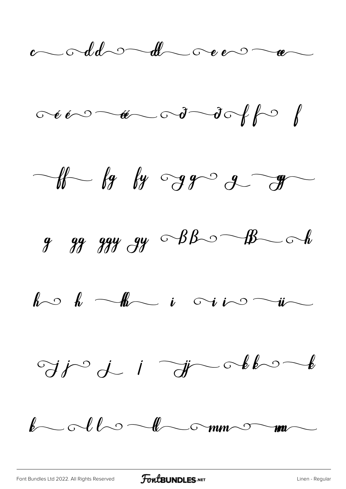$\ddot{\phantom{a}}$  and  $\ddot{\phantom{a}}$  and  $\ddot{\phantom{a}}$ 

![](_page_26_Figure_1.jpeg)

 $-$ th by by  $-$ g $-$ g $-$ g $-$ 

 $9$   $99$   $99$   $99$   $99$   $99$   $\circ$   $88$   $\circ$   $\circ$   $\circ$   $\circ$   $\circ$ 

 $k \circ k$  -the i viro -in

 $\Im j \circ j \quad \text{if} \quad \Im j \quad \text{otherwise}$ 

 $\ell\sim$  ollo lo mm om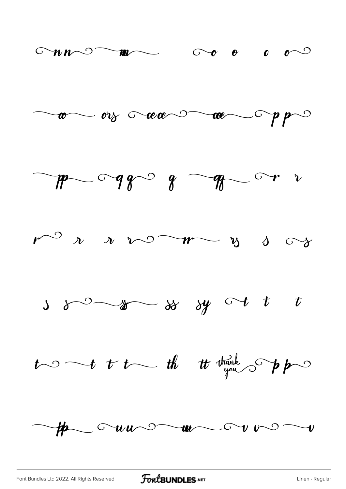![](_page_27_Figure_0.jpeg)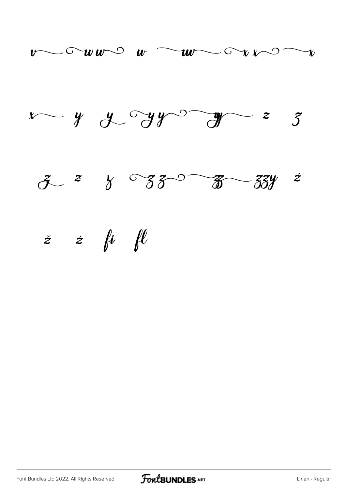![](_page_28_Figure_0.jpeg)

![](_page_28_Figure_1.jpeg)

![](_page_28_Figure_2.jpeg)

![](_page_28_Picture_4.jpeg)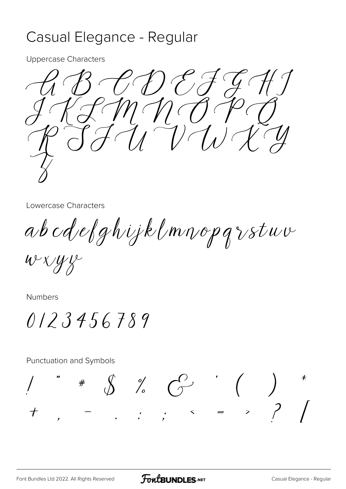### Casual Elegance - Regular

**Uppercase Characters** 

![](_page_29_Picture_2.jpeg)

Lowercase Characters

abcdelghijklmnopqrstuv

 $W^{\vee}\chi$  $\mathscr{W}$ k

**Numbers** 

 $0123456789$ 

Punctuation and Symbols  $\oint_{0}^{\infty}\frac{\partial f}{\partial x}=\int_{0}^{\infty}f(x)dx$  $\#$  $\begin{pmatrix} 1 & 1 \\ 1 & 1 \end{pmatrix}$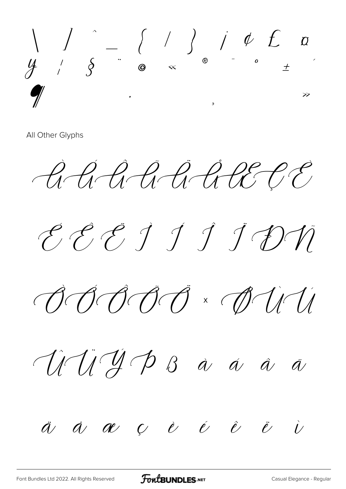$y'$   $\circ$   $\circ$   $($   $\circ$   $\circ$   $\circ$   $($   $\circ$   $\circ$   $($   $\circ$   $\circ$   $($   $\circ$   $\circ$   $($   $\circ$   $\circ$   $($   $\circ$   $\circ$   $($   $\circ$   $\circ$   $($   $\circ$   $\circ$   $($   $\circ$   $\circ$   $($ 

All Other Glyphs

AAAARARCE

CECJJJDN

 $\bigcirc \theta \circ \theta \circ \theta \cdot \theta \circ \theta$ 

ANJAP Bà á â ā

 $\ddot{a}$   $\dot{a}$   $\alpha$   $\beta$   $\dot{e}$   $\dot{e}$   $\ddot{e}$   $\dot{v}$ 

FontBUNDLES.NET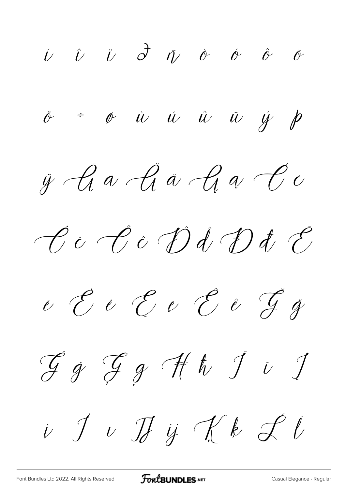$\begin{array}{ccccccccccccccccc} \hat{U} & \hat{U} & \hat{U} & \hat{O} & \hat{U} & \hat{O} & \hat{O} & \hat{O} & \hat{O} & \hat{O} & \hat{O} & \hat{O} & \hat{O} & \hat{O} & \hat{O} & \hat{O} & \hat{O} & \hat{O} & \hat{O} & \hat{O} & \hat{O} & \hat{O} & \hat{O} & \hat{O} & \hat{O} & \hat{O} & \hat{O} & \hat{O} & \hat{O} & \hat{O} & \hat{O} & \hat{O} & \hat{O} & \hat{O} & \hat{O}$  $\dot{\sigma}$  =  $\dot{\sigma}$   $\dot{u}$   $\dot{u}$   $\dot{u}$   $\ddot{u}$   $\dot{y}$   $\dot{p}$  $\ddot{y}$  A a A a A a C c  $\mathscr{C}$ i  $\mathscr{C}$ i Dd Dd E  $e$  E  $e$  E  $e$  E  $e$  G  $g$  $\mathcal{G}$  of  $\mathcal{G}$  of  $\mathcal{G}$  of  $\mathcal{G}$   $\mathcal{G}$   $\mathcal{G}$  $\begin{array}{ccc} \dot{v} & \dot{v} & \dot{v} & \dot{v} & \dot{v} & \dot{v} & \dot{v} & \dot{v} & \dot{v} & \dot{v} & \dot{v} & \dot{v} & \dot{v} & \dot{v} & \dot{v} & \dot{v} & \dot{v} & \dot{v} & \dot{v} & \dot{v} & \dot{v} & \dot{v} & \dot{v} & \dot{v} & \dot{v} & \dot{v} & \dot{v} & \dot{v} & \dot{v} & \dot{v} & \dot{v} & \dot{v} & \dot{v} & \dot{v} & \dot{v} & \dot{$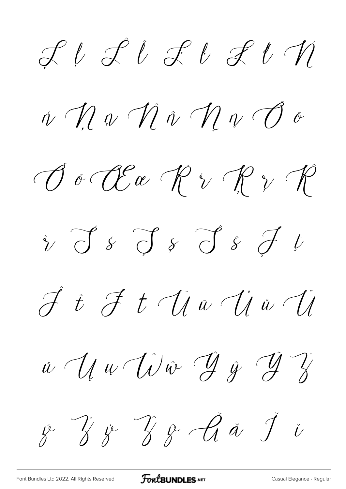$2l2l3l3l41$ 

 $\hat{\eta}$  of  $\hat{\eta}$  or  $\hat{\eta}$  or  $\hat{\eta}$  or  $\hat{\theta}$  or

 $\bigcirc \mathscr{C} \circ \mathscr{C} \circ \mathscr{C} \circ \mathscr{C} \circ \mathscr{C} \circ \mathscr{C}$ 

 $\hat{v}$  J s J s J s J t

 $\hat{J}$  i  $\hat{J}$  t  $\hat{U}$  i  $\hat{U}$  i  $\hat{U}$ 

 $\dot{u}$   $\dot{u}$   $\dot{u}$   $\dot{u}$   $\dot{y}$   $\dot{y}$   $\ddot{y}$   $\dddot{y}$ 

y Zy Zy Aa Ji

**FoutBUNDLES**.NET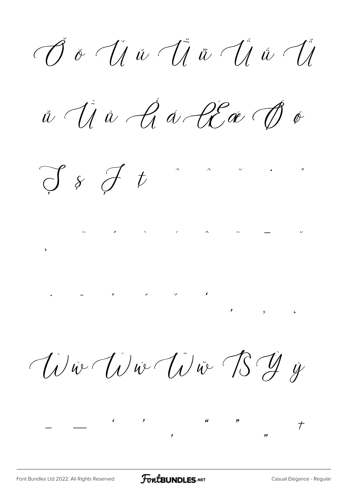$\overrightarrow{O}$  &  $\overrightarrow{U}$   $\overrightarrow{u}$   $\overrightarrow{U}$   $\overrightarrow{u}$   $\overrightarrow{U}$ 

 $\check{w}$   $\check{U}$   $\mathring{w}$   $\mathring{\mathscr{A}}$   $\mathring{\mathscr{A}}$   $\mathring{\mathscr{C}}$   $\mathring{\mathscr{C}}$   $\mathring{\mathscr{C}}$   $\mathring{\mathscr{C}}$ 

 $\bigcirc f \circ f \circ f$ 

Wie Wie Wür BY is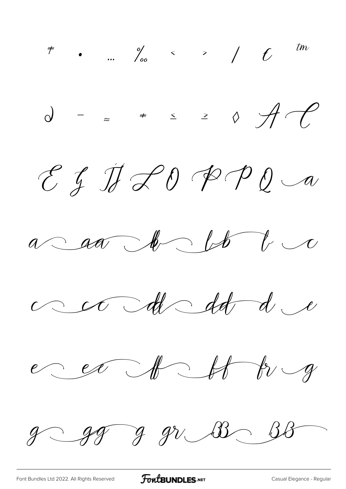*‡ • … ‰ ‹ › ⁄ € ™ ∂ − ≈ ≠ ≤ ≥ ◊*  $EfJf20PQa$  $a$  and  $b$  by  $cc=cd-dd-dd-d$ e ex A H Ev g  $g-gg-gv$  B  $\sim$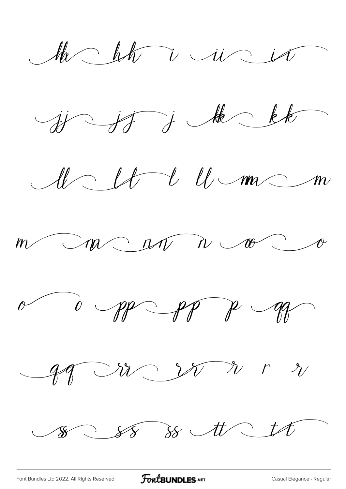Mr bh i rir is

 $y \rightarrow f$  , the kk

 $U U U w C m$ 

 $\bigcap_{n\in\mathbb{N}}\bigcap_{n\in\mathbb{N}}\bigcap_{n\in\mathbb{N}}\bigcap_{n\in\mathbb{N}}\bigcap_{n\in\mathbb{N}}\bigcap_{n\in\mathbb{N}}\bigcap_{n\in\mathbb{N}}\bigcap_{n\in\mathbb{N}}\bigcap_{n\in\mathbb{N}}\bigcap_{n\in\mathbb{N}}\bigcap_{n\in\mathbb{N}}\bigcap_{n\in\mathbb{N}}\bigcap_{n\in\mathbb{N}}\bigcap_{n\in\mathbb{N}}\bigcap_{n\in\mathbb{N}}\bigcap_{n\in\mathbb{N}}\bigcap_{n\in\mathbb{N$ 

![](_page_35_Picture_4.jpeg)

gg nr w nr n

 $80,88$  88 tt tt

[Font Bundles Ltd 2022. All Rights Reserved](https://fontbundles.net/) **FoutBUNDLES.NET** [Casual Elegance - Regular](https://fontbundles.net/)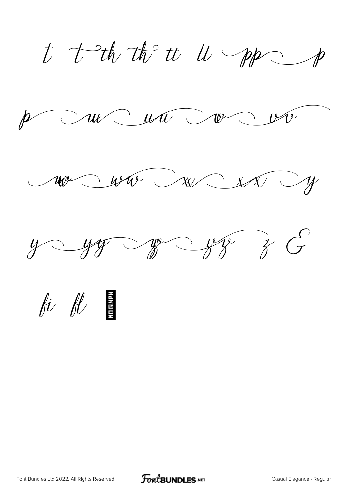t tutto to u pp

p au cun voir

 $w$  and  $w$  and  $y$ 

![](_page_36_Picture_3.jpeg)

*fi fl*

![](_page_36_Picture_5.jpeg)

![](_page_36_Picture_6.jpeg)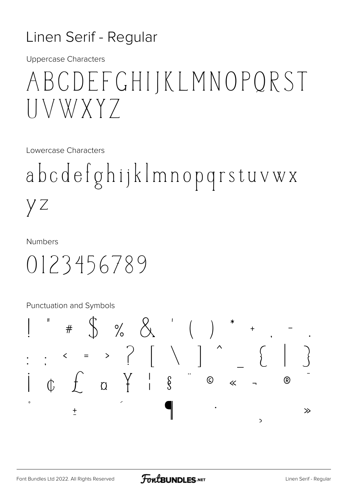### Linen Serif - Regular

**Uppercase Characters** 

# ABCDEFCHIJKLMNOPQRST VWXY7

Lowercase Characters

abcdefghijklmnopqrstuvwx yz

**Numbers** 

0123456789

Punctuation and Symbols

![](_page_37_Figure_8.jpeg)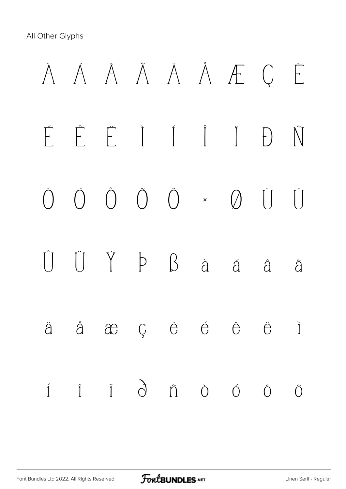All Other Glyphs

![](_page_38_Figure_1.jpeg)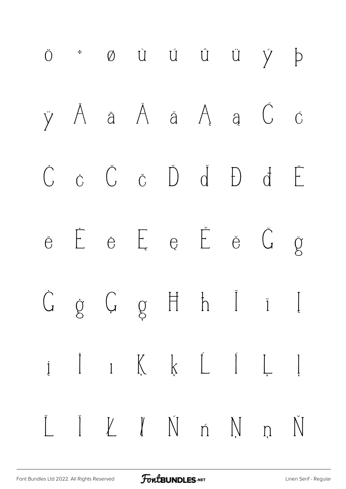![](_page_39_Figure_0.jpeg)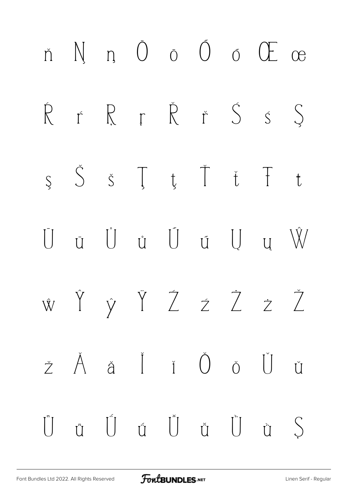![](_page_40_Figure_0.jpeg)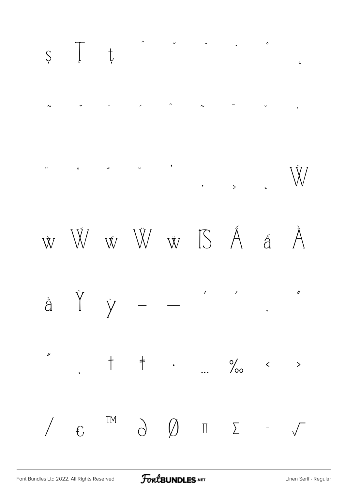![](_page_41_Figure_0.jpeg)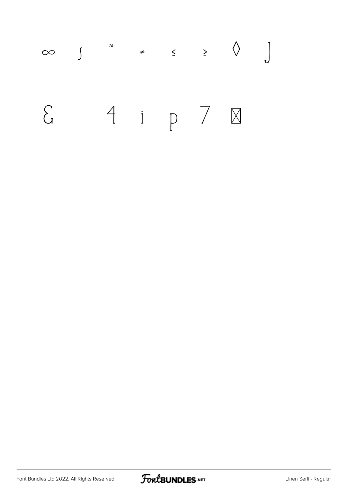![](_page_42_Figure_0.jpeg)

![](_page_42_Picture_2.jpeg)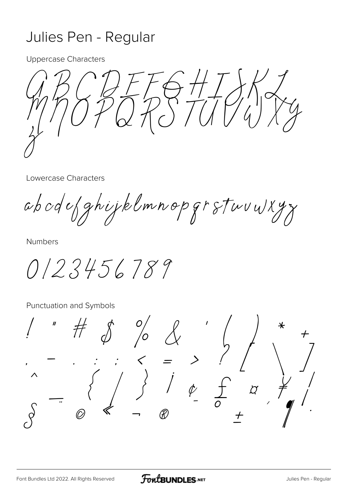### Julies Pen - Regular

**Uppercase Characters** 

**Lowercase Characters** 

abodefghijklmnopgrstuvu/xyz

**Numbers** 

0123456789

Punctuation and Symbols

 $\sigma'$  $\begin{array}{c}\n\begin{array}{ccc}\n\searrow & = & \nearrow & \nearrow \\
\searrow & \searrow & \searrow \\
\searrow & \searrow & \searrow \\
\swarrow & \searrow & \searrow \\
\text{w} & & \nearrow\n\end{array}\n\end{array}$  $\overline{C}$  $\overline{1}$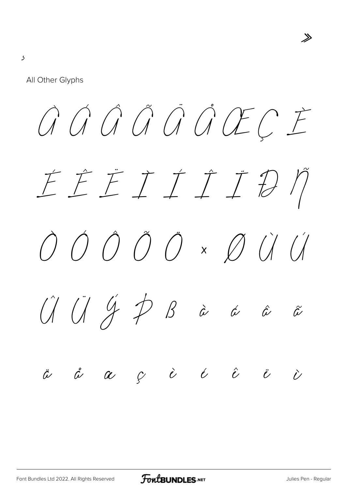$\overline{\mathcal{L}}$ 

All Other Glyphs

GGGGGGGECE EEEIIIDD  $\begin{picture}(120,15) \put(0,0) {\line(1,0){155}} \put(15,0) {\line(1,0){155}} \put(15,0) {\line(1,0){155}} \put(15,0) {\line(1,0){155}} \put(15,0) {\line(1,0){155}} \put(15,0) {\line(1,0){155}} \put(15,0) {\line(1,0){155}} \put(15,0) {\line(1,0){155}} \put(15,0) {\line(1,0){155}} \put(15,0) {\line(1,0){155}} \put(15,0) {\line(1,0){155}}$  $\hat{U} \ \hat{U} \ \hat{Y} \ \hat{P} \ \hat{B} \ \hat{a} \ \hat{a} \ \hat{a}$  $\ddot{\omega}$   $\dot{\alpha}$   $\alpha$   $\dot{\varphi}$   $\dot{\alpha}$   $\dot{\alpha}$   $\dot{\alpha}$   $\ddot{\alpha}$  $\ddot{\phantom{1}}$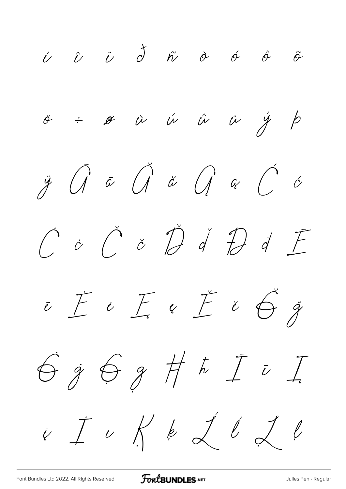$\begin{array}{ccccccccccccccccc} \swarrow & \hat{\nu} & \hat{\nu} & \vec{\sigma} & \hat{\kappa} & \hat{\sigma} & \hat{\sigma} & \hat{\sigma} & \hat{\sigma} \end{array}$  $\sigma$  =  $\sigma$   $\dot{\alpha}$   $\dot{\alpha}$   $\ddot{\alpha}$   $\ddot{\alpha}$   $\dot{\beta}$   $\beta$  $\ddot{y}$   $\hat{d}$   $\bar{\alpha}$   $\hat{d}$   $\ddot{\alpha}$   $\hat{d}$   $\alpha$   $\hat{C}$   $\dot{\alpha}$  $\hat{C}$  o  $\hat{C}$  o  $\hat{D}$  d  $\hat{D}$  d  $\hat{F}$  $\overline{c}\subseteq\overline{c}$   $\overline{c}\subseteq\overline{c}\times\overline{c}\times\overline{c}$  $699777777$  $\begin{array}{ccccc} & \dot{I} & \dot{\end{array} & \begin{array}{ccccc} & \dot{\end{array} & \begin{array}{ccccc} & \dot{\end{array} & \begin{array}{ccccc} & \dot{\end{array} & \begin{array}{ccccc} & \dot{\end{array} & \begin{array}{ccccc} & \dot{\end{array} & \begin{array}{ccccc} & \dot{\end{array} & \begin{array}{ccccc} & \dot{\end{array} & \begin{array}{ccccc} & \dot{\end{array} & \begin{array}{ccccc} & \dot{\end{array} & \begin{array}{ccc} & \dot{\end{array} & \begin{array}{ccc} & \dot{\end{array} & \begin{array}{ccc} & \dot{\end$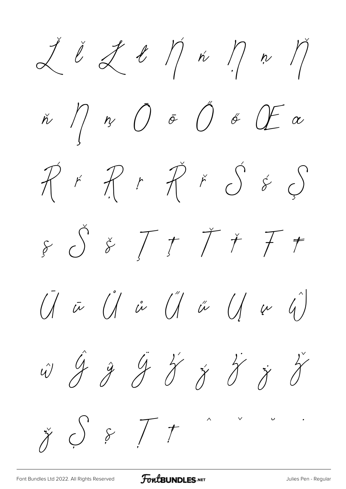$\measuredangle$   $\emph{i}$   $\measuredangle$   $\emph{t}$   $\emph{r}$   $\emph{r}$   $\emph{r}$  $\check{n}$   $\bigwedge$   $\eta$   $\bigcirc$   $\sigma$   $\bigcirc$   $\sigma$   $\bigcirc$   $\sigma$  $\tilde{\mathcal{X}}$  if  $\tilde{\mathcal{X}}$  if  $\tilde{\mathcal{X}}$  if  $\tilde{\mathcal{Y}}$  if  $\tilde{\mathcal{Y}}$  $\oint g$   $\int f f f f$  $\begin{matrix} \tilde{U} & \tilde{\omega} & \tilde{U} & \tilde{\omega} & \tilde{U} & \tilde{\omega} & \tilde{U} & \omega & \tilde{U} \end{matrix}$ w 9 9 9 8 8 8 8 8  $\check{\gamma}$   $\bigcirc$   $\circ$   $\top$   $\tau$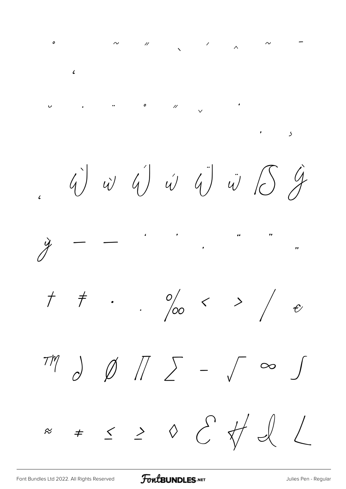*˛ ˜ ˝ ̂ ̃ ̄ ̆ ̇ ̈ ̊ ̋ ̌ ̒ ̦ ̧ ̨ Ẁ ẁ Ẃ ẃ Ẅ ẅ ẞ Ỳ ỳ – — ' ' ' " " " † ‡ • … ‰ ‹ › ⁄ € ™ ∂ ∅ ∏ ∑ − √ ∞ ∫ ≈ ≠ ≤ ≥ ◊*

[Font Bundles Ltd 2022. All Rights Reserved](https://fontbundles.net/) **FoutBUNDLES.NET** State of the United States Pen - Regular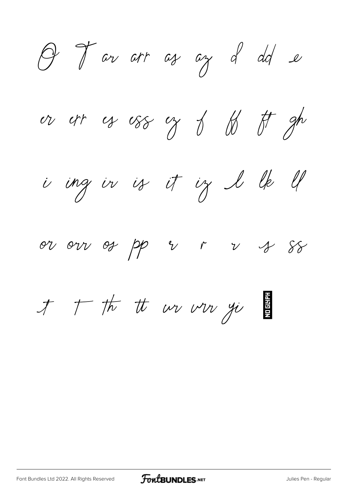O J ar arr as an d dd e

or orr of oss of 8 to gh

is ing in is it ig I lk ll

or our os pp r r r s ss

才 广 杭 *th wv ww yi*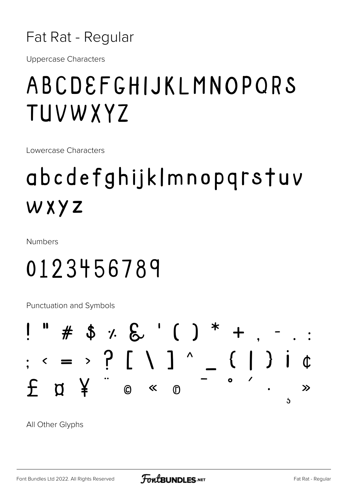![](_page_49_Picture_0.jpeg)

**Uppercase Characters** 

## ABCDEFGHIJKLMNOPQRS TUVWXYZ

Lowercase Characters

# abcdefghijklmnopqrstuv WXYZ

**Numbers** 

# 0123456789

**Punctuation and Symbols** 

![](_page_49_Figure_8.jpeg)

All Other Glyphs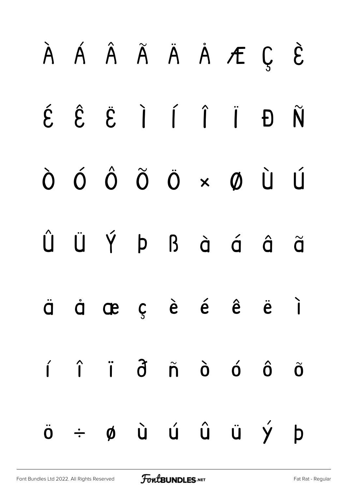![](_page_50_Figure_0.jpeg)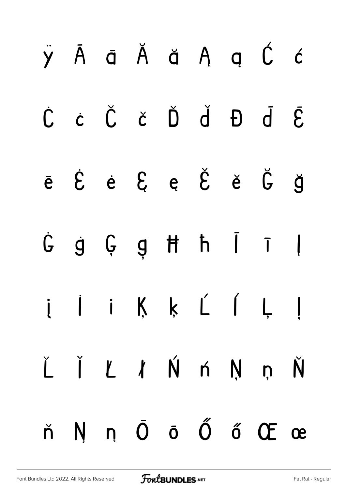|  |  |  | ň N n Ō ō Ő ő Œ œ                                                                                                                   |  |
|--|--|--|-------------------------------------------------------------------------------------------------------------------------------------|--|
|  |  |  | $\check{L}$ $\check{I}$ $\check{L}$ $\check{N}$ $\check{N}$ $\check{N}$ $\check{N}$ $\check{N}$                                     |  |
|  |  |  | i li Ķ ķ Ĺ ĺ Ļ ļ                                                                                                                    |  |
|  |  |  | $G$ g $G$ g $H$ $h$ $\overline{I}$ $I$                                                                                              |  |
|  |  |  | $\check{e}$ $\acute{e}$ $\acute{e}$ $\acute{e}$ $\acute{e}$ $\check{e}$ $\check{e}$ $\check{g}$                                     |  |
|  |  |  | $\dot{C} \quad \dot{c} \quad \dot{C} \quad \dot{c} \quad \dot{D} \quad \dot{d} \quad E \quad \dot{\bar{d}} \quad \bar{\mathcal{E}}$ |  |
|  |  |  | ÿĀāĂă ĄąĆć                                                                                                                          |  |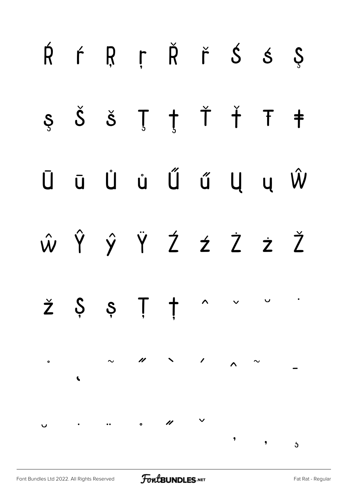![](_page_52_Figure_0.jpeg)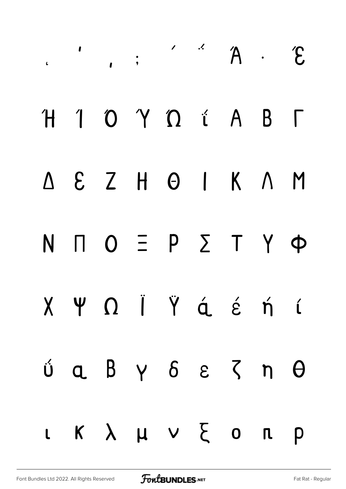|  |  | $\overline{A}$ . $\overline{A}$ . $\overline{B}$                                           |  |  |
|--|--|--------------------------------------------------------------------------------------------|--|--|
|  |  | H 1 0 Y 0 i A B T                                                                          |  |  |
|  |  | $\Delta \quad \epsilon \quad Z \quad H \quad \Theta \quad I \quad K \quad \Lambda \quad M$ |  |  |
|  |  | $N \cap O \equiv P \sum T \gamma \Phi$                                                     |  |  |
|  |  | X Y O Ï Ÿ á é ń í                                                                          |  |  |
|  |  | $0$ $a$ $b$ $y$ $b$ $\varepsilon$ $\zeta$ $n$ $\theta$                                     |  |  |
|  |  | L K $\lambda$ $\mu$ V $\zeta$ O $\pi$ p                                                    |  |  |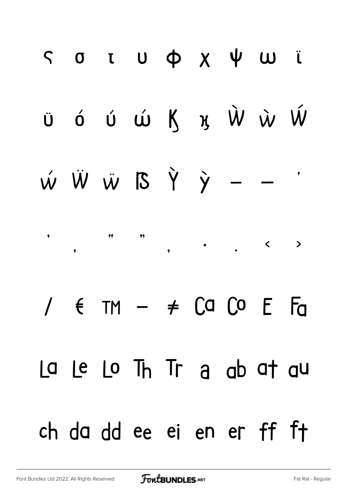# ς στυφχψωϊ ϋ ó ú ú K x Ŵ ẁ Ŵ  $\dot{w}$   $\dot{W}$   $\ddot{w}$   $\dot{B}$   $\dot{Y}$   $\dot{y}$   $\pmb{\eta}$  $1 \in T M - \neq C Q C$   $C P$ La Le Lo Th Tr a ab at au ch da dd ee ei en er ff ft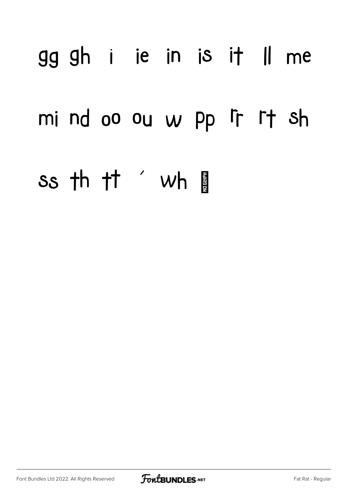# gg gh i ie in is it Il me mind oo ou w pp ir rt sh Ss th tt ′ wh

![](_page_55_Picture_2.jpeg)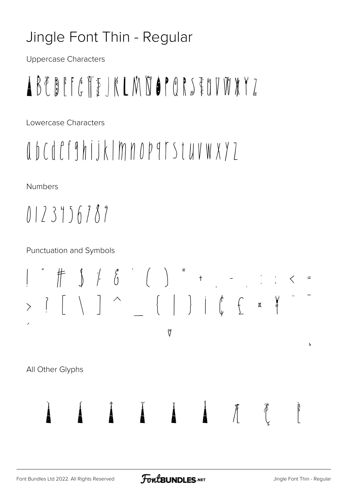## Jingle Font Thin - Regular

Uppercase Characters

# ABEBEFETEJKLMDOPORSTOVWXYZ

Lowercase Characters

# abcdcfghijklmnopqrstuvwxyz

**Numbers** 

 $0123156787$ 

**Punctuation and Symbols** 

V

All Other Glyphs

 $\oint$ 

Ь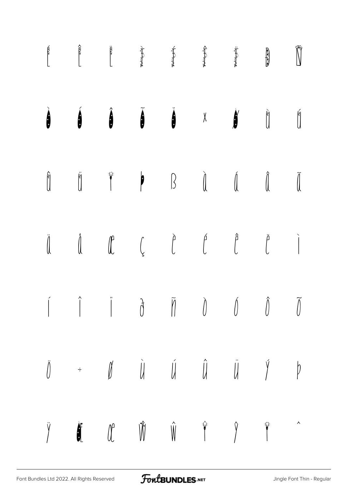![](_page_57_Figure_0.jpeg)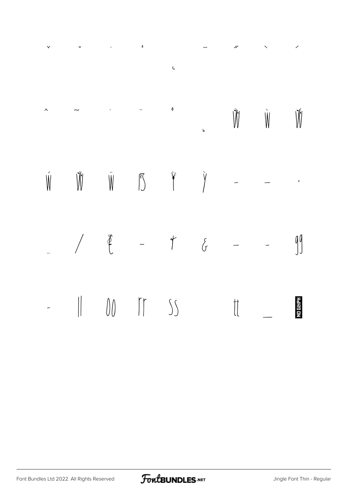|  |  | $\sim$ $\sim$ $\sqrt{N}$ $\sqrt{N}$                                                                                                                                                                                                                                                                                                                                                                                                                                                                             |  |           |
|--|--|-----------------------------------------------------------------------------------------------------------------------------------------------------------------------------------------------------------------------------------------------------------------------------------------------------------------------------------------------------------------------------------------------------------------------------------------------------------------------------------------------------------------|--|-----------|
|  |  | $\begin{matrix} \hat{\mathbb{W}} \qquad \qquad \hat{\mathbb{W}} \qquad \qquad \hat{\mathbb{W}} \qquad \qquad \hat{\mathbb{S}} \qquad \qquad \hat{\mathbb{Y}} \qquad \qquad - \qquad - \qquad \qquad \hat{\mathbb{X}} \qquad \qquad - \qquad - \qquad \qquad \hat{\mathbb{X}} \qquad \qquad - \qquad - \qquad \qquad \hat{\mathbb{X}} \qquad \qquad - \qquad - \qquad \qquad \hat{\mathbb{X}} \qquad \qquad - \qquad - \qquad \qquad \hat{\mathbb{X}} \qquad \qquad - \qquad - \qquad \qquad \hat{\mathbb{X}} \$ |  |           |
|  |  | $\begin{array}{cccccccccccccc} \mathcal{L} & & \mathcal{L} & & \mathcal{L} & & \mathcal{L} & & \mathcal{L} & & \mathcal{L} & & \mathcal{L} & & \mathcal{L} & & \mathcal{L} & & \mathcal{L} & & \mathcal{L} & & \mathcal{L} & & \mathcal{L} & & \mathcal{L} & & \mathcal{L} & & \mathcal{L} & & \mathcal{L} & & \mathcal{L} & & \mathcal{L} & & \mathcal{L} & & \mathcal{L} & & \mathcal{L} & & \mathcal{L} & & \mathcal{L} & & \mathcal{L} & & \mathcal{L} & & \math$                                           |  |           |
|  |  | $ \parallel$ 00 $\parallel$ 55 $\parallel$ $-$                                                                                                                                                                                                                                                                                                                                                                                                                                                                  |  | No styre! |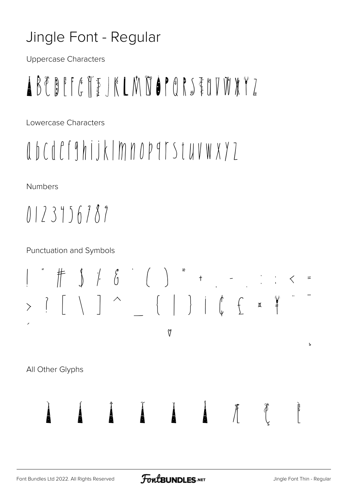## Jingle Font - Regular

**Uppercase Characters** 

# ABEBEFETEJKLMDOPORSTOVWXYZ

Lowercase Characters

# abcdcfghijklmnopqrstuvwxyz

**Numbers** 

 $0123156787$ 

**Punctuation and Symbols** 

V

All Other Glyphs

 $\oint$ 

Ь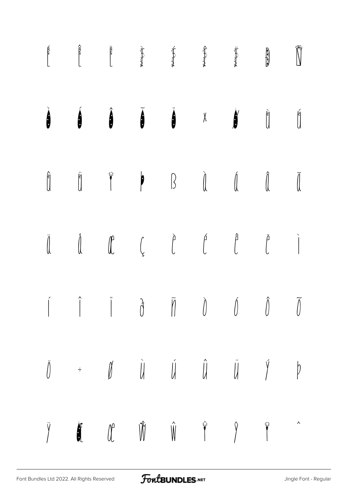![](_page_60_Figure_0.jpeg)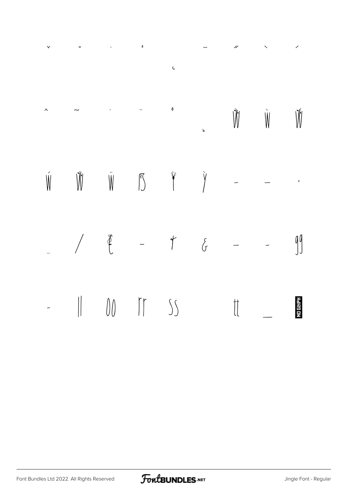|  |  | $\sim$ $\sim$ $\sqrt{N}$ $\sqrt{N}$                                                                                                                                                                                                                                                                                                                                                                                                                                 |  |           |
|--|--|---------------------------------------------------------------------------------------------------------------------------------------------------------------------------------------------------------------------------------------------------------------------------------------------------------------------------------------------------------------------------------------------------------------------------------------------------------------------|--|-----------|
|  |  | $\begin{matrix} \hat{W} & \hat{W} & \hat{W} & \hat{S} & \hat{Y} & \hat{Y} & \cdots & \cdots & \cdots \end{matrix}$                                                                                                                                                                                                                                                                                                                                                  |  |           |
|  |  | $\begin{array}{cccccccccccccc} \mathcal{L} & \mathcal{L} & \mathcal{L} & \mathcal{L} & \mathcal{L} & \mathcal{L} & \mathcal{L} & \mathcal{L} & \mathcal{L} & \mathcal{L} & \mathcal{L} & \mathcal{L} & \mathcal{L} & \mathcal{L} & \mathcal{L} & \mathcal{L} & \mathcal{L} & \mathcal{L} & \mathcal{L} & \mathcal{L} & \mathcal{L} & \mathcal{L} & \mathcal{L} & \mathcal{L} & \mathcal{L} & \mathcal{L} & \mathcal{L} & \mathcal{L} & \mathcal{L} & \mathcal{L} &$ |  |           |
|  |  | $ \parallel$ 00 $\parallel$ 55 $\parallel$ $-$                                                                                                                                                                                                                                                                                                                                                                                                                      |  | No state: |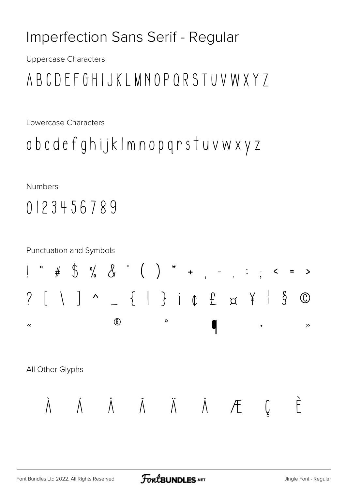## Imperfection Sans Serif - Regular

**Uppercase Characters** 

## ABCDEFGHIJKLMNOPQRSTUVWXY7

Lowercase Characters

```
abcdefghijklmnopqrstuvwxyz
```
**Numbers** 

## 0123456789

![](_page_62_Figure_7.jpeg)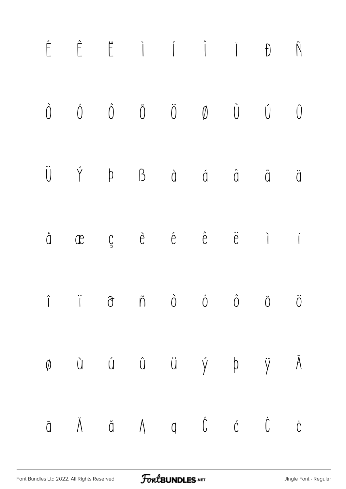![](_page_63_Figure_0.jpeg)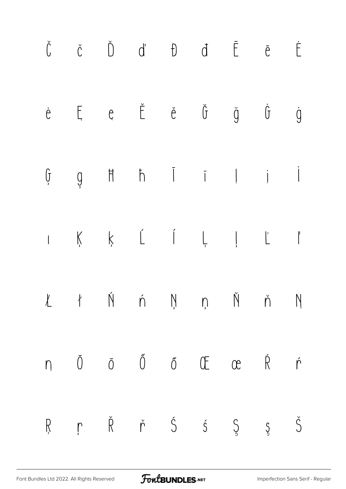| $\check{\mathsf{C}}$ |  |  | $\check{C}$ $\check{D}$ $d'$ $\theta$ $d'$ $\bar{E}$ $\bar{e}$ $\dot{E}$                                                                                                                                                                |  |  |
|----------------------|--|--|-----------------------------------------------------------------------------------------------------------------------------------------------------------------------------------------------------------------------------------------|--|--|
|                      |  |  | $\begin{array}{ccccccccccccccccc} \dot{e} & & \mathbb{E} & & e & & \check{\mathbb{E}} & & \check{e} & & \check{\mathbb{G}} & & \check{\mathbb{G}} & & \check{\mathbb{G}} & & \check{\mathbb{G}} & & \check{\mathbb{G}} & & \end{array}$ |  |  |
|                      |  |  | $\begin{array}{ccccccccccccccccc}\mathfrak{h} & \mathfrak{g} & \mathfrak{h} & \mathfrak{h} & \mathfrak{l} & \mathfrak{l} & \mathfrak{l} & \mathfrak{l}\end{array}$                                                                      |  |  |
|                      |  |  |                                                                                                                                                                                                                                         |  |  |
|                      |  |  | $l$ ł Ń ń Ņņ Ň ň Ŋ                                                                                                                                                                                                                      |  |  |
|                      |  |  | $n \quad \bar{0} \quad \bar{0} \quad \tilde{0} \quad \tilde{0} \quad \tilde{0} \quad \mathbb{C} \quad \mathbb{R} \quad \dot{r}$                                                                                                         |  |  |
|                      |  |  | ŖŗŘřŚŚ Ş Ş Š                                                                                                                                                                                                                            |  |  |

FontBUNDLES.NET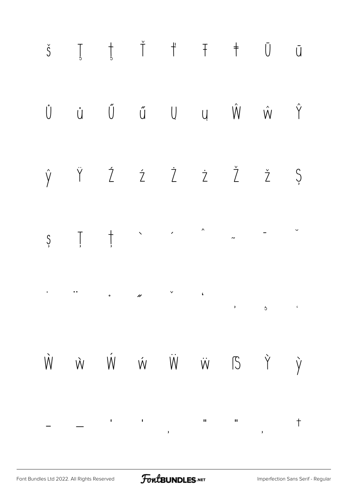![](_page_65_Figure_0.jpeg)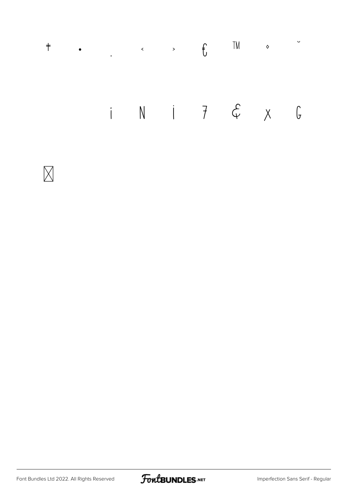## TM  $\bullet$  $\ddot{\mathbf{v}}$  $\ddagger$  $\bullet$   $\qquad \qquad \bullet$   $\qquad \qquad \bullet$   $\qquad \bullet$   $\qquad \qquad \bullet$   $\qquad \qquad \bullet$ i N i 7 & x G

![](_page_66_Picture_1.jpeg)

![](_page_66_Picture_3.jpeg)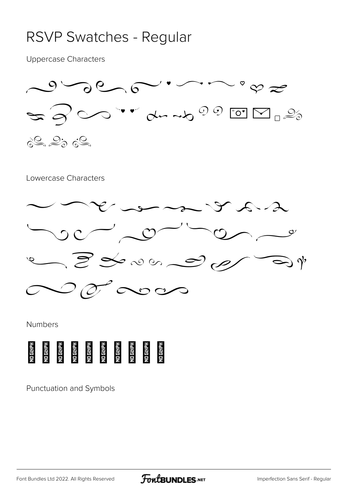### RSVP Swatches - Regular

Uppercase Characters

![](_page_67_Figure_2.jpeg)

#### Lowercase Characters

![](_page_67_Figure_4.jpeg)

#### Numbers

![](_page_67_Picture_6.jpeg)

Punctuation and Symbols

[Font Bundles Ltd 2022. All Rights Reserved](https://fontbundles.net/) **FoutBUNDLES.NET** [Imperfection Sans Serif - Regular](https://fontbundles.net/)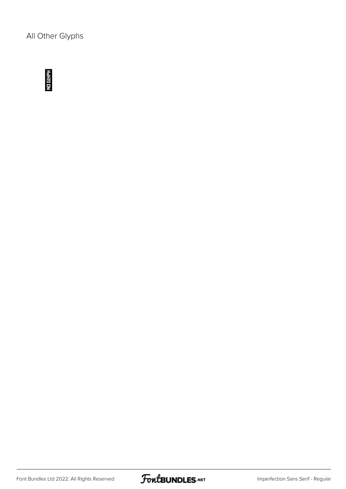All Other Glyphs

![](_page_68_Picture_1.jpeg)

![](_page_68_Picture_3.jpeg)